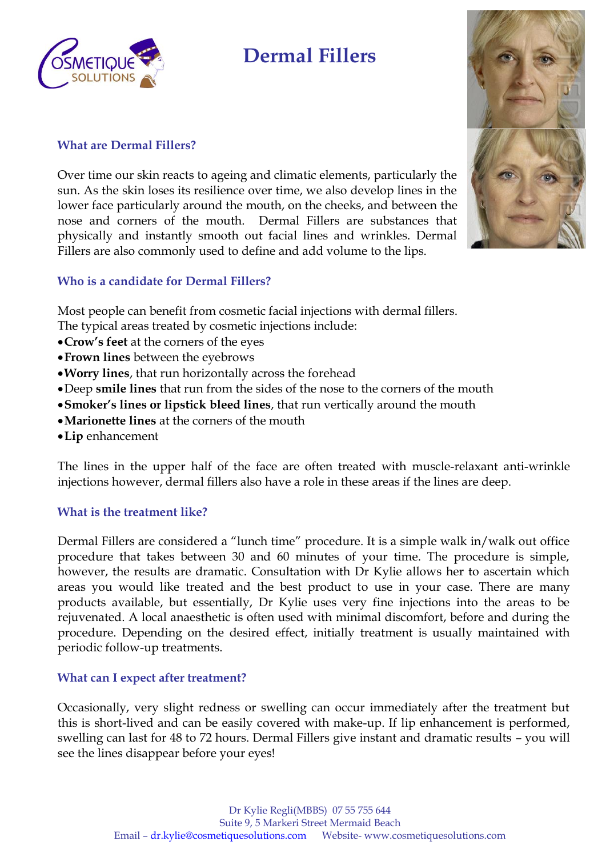

## **Dermal Fillers**

### **What are Dermal Fillers?**

Over time our skin reacts to ageing and climatic elements, particularly the sun. As the skin loses its resilience over time, we also develop lines in the lower face particularly around the mouth, on the cheeks, and between the nose and corners of the mouth. Dermal Fillers are substances that physically and instantly smooth out facial lines and wrinkles. Dermal Fillers are also commonly used to define and add volume to the lips.



### **Who is a candidate for Dermal Fillers?**

Most people can benefit from cosmetic facial injections with dermal fillers.

The typical areas treated by cosmetic injections include:

- **Crow's feet** at the corners of the eyes
- **Frown lines** between the eyebrows
- **Worry lines**, that run horizontally across the forehead
- Deep **smile lines** that run from the sides of the nose to the corners of the mouth
- **Smoker's lines or lipstick bleed lines**, that run vertically around the mouth
- **Marionette lines** at the corners of the mouth
- **Lip** enhancement

The lines in the upper half of the face are often treated with muscle-relaxant anti-wrinkle injections however, dermal fillers also have a role in these areas if the lines are deep.

#### **What is the treatment like?**

Dermal Fillers are considered a "lunch time" procedure. It is a simple walk in/walk out office procedure that takes between 30 and 60 minutes of your time. The procedure is simple, however, the results are dramatic. Consultation with Dr Kylie allows her to ascertain which areas you would like treated and the best product to use in your case. There are many products available, but essentially, Dr Kylie uses very fine injections into the areas to be rejuvenated. A local anaesthetic is often used with minimal discomfort, before and during the procedure. Depending on the desired effect, initially treatment is usually maintained with periodic follow-up treatments.

#### **What can I expect after treatment?**

Occasionally, very slight redness or swelling can occur immediately after the treatment but this is short-lived and can be easily covered with make-up. If lip enhancement is performed, swelling can last for 48 to 72 hours. Dermal Fillers give instant and dramatic results – you will see the lines disappear before your eyes!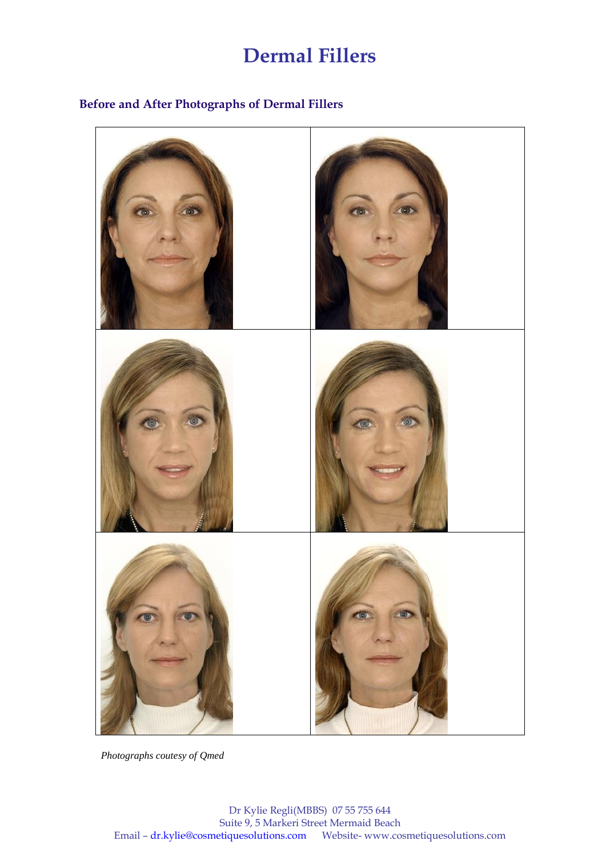## **Dermal Fillers**

## **Before and After Photographs of Dermal Fillers**



*Photographs coutesy of Qmed*